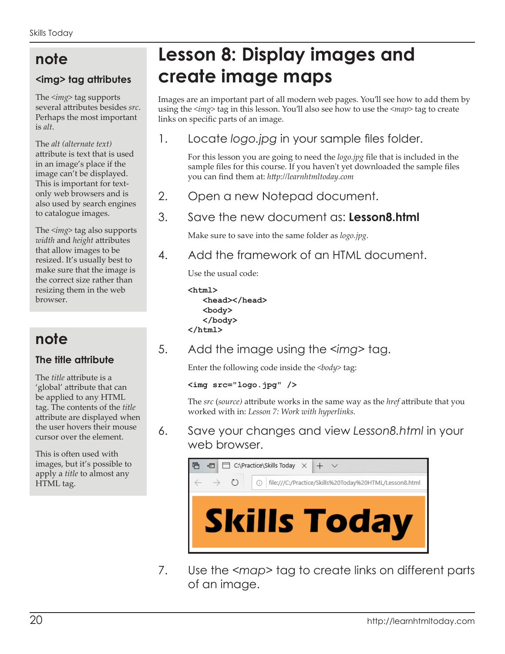## **note**

#### **<img> tag attributes**

The *<img>* tag supports several attributes besides *src*. Perhaps the most important is *alt*.

The *alt (alternate text)* attribute is text that is used in an image's place if the image can't be displayed. This is important for textonly web browsers and is also used by search engines to catalogue images.

The *<img>* tag also supports *width* and *height* attributes that allow images to be resized. It's usually best to make sure that the image is the correct size rather than resizing them in the web browser.

# **note**

#### **The title attribute**

The *title* attribute is a 'global' attribute that can be applied to any HTML tag. The contents of the *title* attribute are displayed when the user hovers their mouse cursor over the element.

This is often used with images, but it's possible to apply a *title* to almost any HTML tag.

# **Lesson 8: Display images and create image maps**

Images are an important part of all modern web pages. You'll see how to add them by using the *<img>* tag in this lesson. You'll also see how to use the *<map>* tag to create links on specific parts of an image.

### 1. Locate *logo.jpg* in your sample files folder.

For this lesson you are going to need the *logo.jpg* file that is included in the sample files for this course. If you haven't yet downloaded the sample files you can find them at: *http://learnhtmltoday.com*

2. Open a new Notepad document.

## 3. Save the new document as: **Lesson8.html**

Make sure to save into the same folder as *logo.jpg*.

4. Add the framework of an HTML document.

Use the usual code:

```
<html>
    <head></head>
    <body>
    </body>
</html>
```
5. Add the image using the *<img>* tag.

Enter the following code inside the *<body>* tag:

```
<img src="logo.jpg" />
```
The *src* (*source)* attribute works in the same way as the *href* attribute that you worked with in: *Lesson 7: Work with hyperlinks.*

6. Save your changes and view *Lesson8.html* in your web browser.



7. Use the *<map>* tag to create links on different parts of an image.